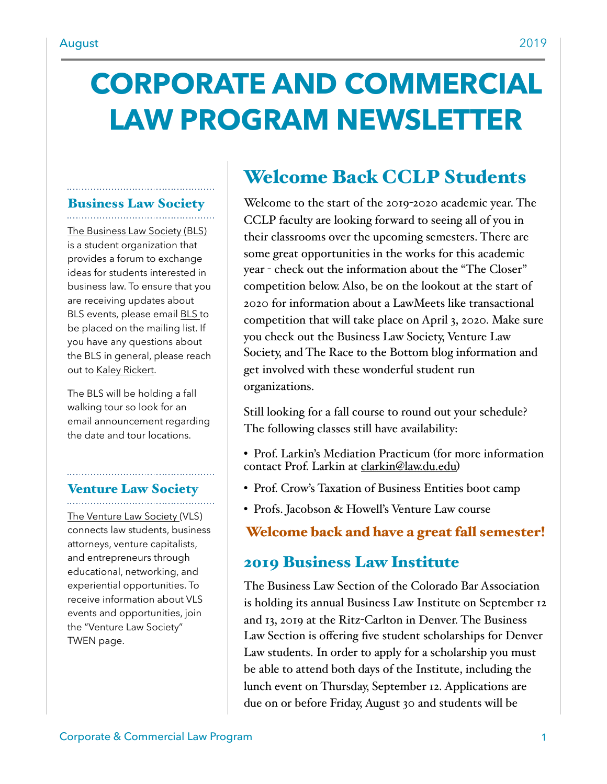# **CORPORATE AND COMMERCIAL LAW PROGRAM NEWSLETTER**

#### Business Law Society

[The Business Law Society \(BLS\)](https://www.law.du.edu/studentorgs/business-law-society)  is a student organization that provides a forum to exchange ideas for students interested in business law. To ensure that you are receiving updates about BLS events, please email [BLS t](mailto:BLS@law.du.edu)o be placed on the mailing list. If you have any questions about the BLS in general, please reach out to [Kaley Rickert](mailto:krickert21@law.du.edu).

The BLS will be holding a fall walking tour so look for an email announcement regarding the date and tour locations.

## Venture Law Society

[The Venture Law Society](https://www.law.du.edu/studentorgs/venture-law-society) (VLS) connects law students, business attorneys, venture capitalists, and entrepreneurs through educational, networking, and experiential opportunities. To receive information about VLS events and opportunities, join the "Venture Law Society" TWEN page.

# Welcome Back CCLP Students

Welcome to the start of the 2019-2020 academic year. The CCLP faculty are looking forward to seeing all of you in their classrooms over the upcoming semesters. There are some great opportunities in the works for this academic year - check out the information about the "The Closer" competition below. Also, be on the lookout at the start of 2020 for information about a LawMeets like transactional competition that will take place on April 3, 2020. Make sure you check out the Business Law Society, Venture Law Society, and The Race to the Bottom blog information and get involved with these wonderful student run organizations.

Still looking for a fall course to round out your schedule? The following classes still have availability:

- Prof. Larkin's Mediation Practicum (for more information contact Prof. Larkin at [clarkin@law.du.edu](mailto:clarkin@law.du.edu))
- Prof. Crow's Taxation of Business Entities boot camp
- Profs. Jacobson & Howell's Venture Law course

### Welcome back and have a great fall semester!

## 2019 Business Law Institute

The Business Law Section of the Colorado Bar Association is holding its annual Business Law Institute on September 12 and 13, 2019 at the Ritz-Carlton in Denver. The Business Law Section is offering five student scholarships for Denver Law students. In order to apply for a scholarship you must be able to attend both days of the Institute, including the lunch event on Thursday, September 12. Applications are due on or before Friday, August 30 and students will be